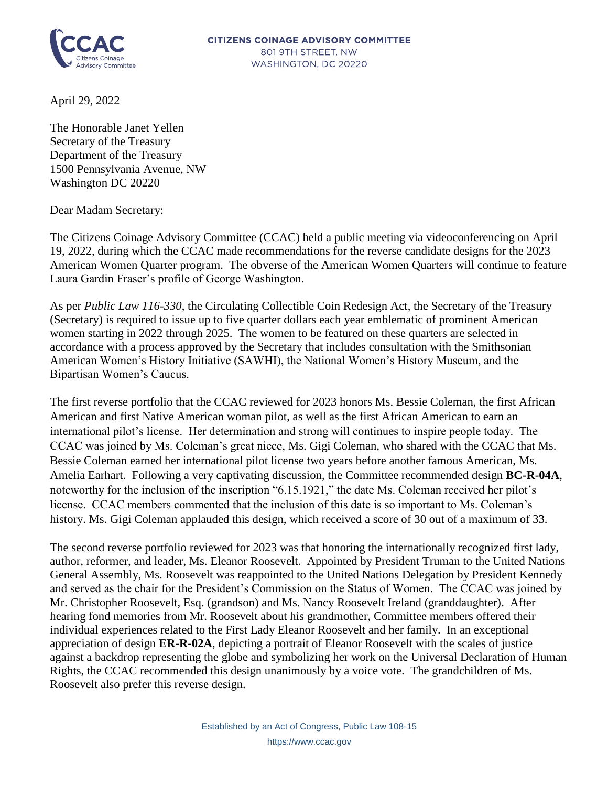

April 29, 2022

The Honorable Janet Yellen Secretary of the Treasury Department of the Treasury 1500 Pennsylvania Avenue, NW Washington DC 20220

Dear Madam Secretary:

The Citizens Coinage Advisory Committee (CCAC) held a public meeting via videoconferencing on April 19, 2022, during which the CCAC made recommendations for the reverse candidate designs for the 2023 American Women Quarter program. The obverse of the American Women Quarters will continue to feature Laura Gardin Fraser's profile of George Washington.

As per *Public Law 116-330*, the Circulating Collectible Coin Redesign Act, the Secretary of the Treasury (Secretary) is required to issue up to five quarter dollars each year emblematic of prominent American women starting in 2022 through 2025. The women to be featured on these quarters are selected in accordance with a process approved by the Secretary that includes consultation with the Smithsonian American Women's History Initiative (SAWHI), the National Women's History Museum, and the Bipartisan Women's Caucus.

The first reverse portfolio that the CCAC reviewed for 2023 honors Ms. Bessie Coleman, the first African American and first Native American woman pilot, as well as the first African American to earn an international pilot's license. Her determination and strong will continues to inspire people today. The CCAC was joined by Ms. Coleman's great niece, Ms. Gigi Coleman, who shared with the CCAC that Ms. Bessie Coleman earned her international pilot license two years before another famous American, Ms. Amelia Earhart. Following a very captivating discussion, the Committee recommended design **BC-R-04A**, noteworthy for the inclusion of the inscription "6.15.1921," the date Ms. Coleman received her pilot's license. CCAC members commented that the inclusion of this date is so important to Ms. Coleman's history. Ms. Gigi Coleman applauded this design, which received a score of 30 out of a maximum of 33.

The second reverse portfolio reviewed for 2023 was that honoring the internationally recognized first lady, author, reformer, and leader, Ms. Eleanor Roosevelt. Appointed by President Truman to the United Nations General Assembly, Ms. Roosevelt was reappointed to the United Nations Delegation by President Kennedy and served as the chair for the President's Commission on the Status of Women. The CCAC was joined by Mr. Christopher Roosevelt, Esq. (grandson) and Ms. Nancy Roosevelt Ireland (granddaughter). After hearing fond memories from Mr. Roosevelt about his grandmother, Committee members offered their individual experiences related to the First Lady Eleanor Roosevelt and her family. In an exceptional appreciation of design **ER-R-02A**, depicting a portrait of Eleanor Roosevelt with the scales of justice against a backdrop representing the globe and symbolizing her work on the Universal Declaration of Human Rights, the CCAC recommended this design unanimously by a voice vote. The grandchildren of Ms. Roosevelt also prefer this reverse design.